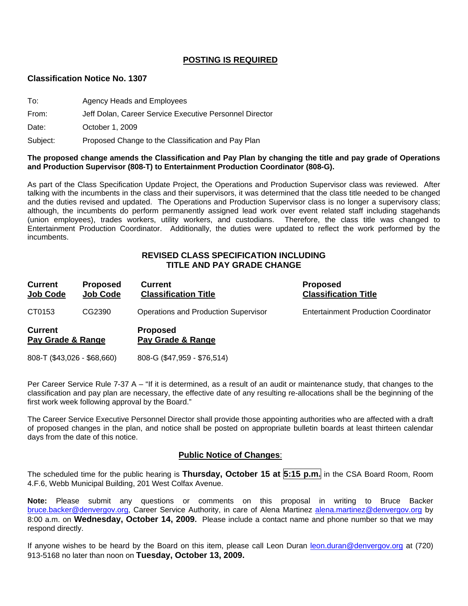## **POSTING IS REQUIRED**

#### **Classification Notice No. 1307**

| To:      | Agency Heads and Employees                              |
|----------|---------------------------------------------------------|
| From:    | Jeff Dolan, Career Service Executive Personnel Director |
| Date:    | October 1, 2009                                         |
| Subject: | Proposed Change to the Classification and Pay Plan      |

#### **The proposed change amends the Classification and Pay Plan by changing the title and pay grade of Operations and Production Supervisor (808-T) to Entertainment Production Coordinator (808-G).**

As part of the Class Specification Update Project, the Operations and Production Supervisor class was reviewed. After talking with the incumbents in the class and their supervisors, it was determined that the class title needed to be changed and the duties revised and updated. The Operations and Production Supervisor class is no longer a supervisory class; although, the incumbents do perform permanently assigned lead work over event related staff including stagehands (union employees), trades workers, utility workers, and custodians. Therefore, the class title was changed to Entertainment Production Coordinator. Additionally, the duties were updated to reflect the work performed by the incumbents.

## **REVISED CLASS SPECIFICATION INCLUDING TITLE AND PAY GRADE CHANGE**

| <b>Current</b><br>Job Code          | <b>Proposed</b><br><b>Job Code</b> | <b>Current</b><br><b>Classification Title</b> | <b>Proposed</b><br><b>Classification Title</b> |
|-------------------------------------|------------------------------------|-----------------------------------------------|------------------------------------------------|
| CT0153                              | CG2390                             | Operations and Production Supervisor          | <b>Entertainment Production Coordinator</b>    |
| <b>Current</b><br>Pay Grade & Range |                                    | <b>Proposed</b><br>Pay Grade & Range          |                                                |
| 808-T (\$43,026 - \$68,660)         |                                    | 808-G (\$47,959 - \$76,514)                   |                                                |

Per Career Service Rule 7-37 A – "If it is determined, as a result of an audit or maintenance study, that changes to the classification and pay plan are necessary, the effective date of any resulting re-allocations shall be the beginning of the first work week following approval by the Board."

The Career Service Executive Personnel Director shall provide those appointing authorities who are affected with a draft of proposed changes in the plan, and notice shall be posted on appropriate bulletin boards at least thirteen calendar days from the date of this notice.

#### **Public Notice of Changes**:

The scheduled time for the public hearing is **Thursday, October 15 at 5:15 p.m.** in the CSA Board Room, Room 4.F.6, Webb Municipal Building, 201 West Colfax Avenue.

**Note:** Please submit any questions or comments on this proposal in writing to Bruce Backer [bruce.backer@denvergov.org,](mailto:bruce.backer@denvergov.org) Career Service Authority, in care of Alena Martinez [alena.martinez@denvergov.org](mailto:alena.martinez@denvergov.org) by 8:00 a.m. on **Wednesday, October 14, 2009.** Please include a contact name and phone number so that we may respond directly.

If anyone wishes to be heard by the Board on this item, please call Leon Duran [leon.duran@denvergov.org](mailto:leon.duran@denvergov.org) at (720) 913-5168 no later than noon on **Tuesday, October 13, 2009.**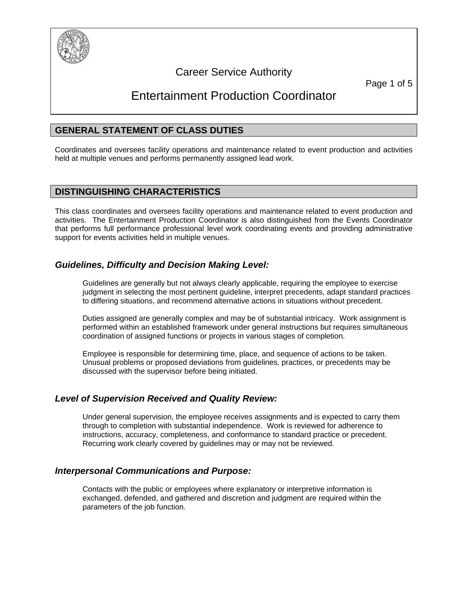

## Career Service Authority

Page 1 of 5

# Entertainment Production Coordinator

## **GENERAL STATEMENT OF CLASS DUTIES**

Coordinates and oversees facility operations and maintenance related to event production and activities held at multiple venues and performs permanently assigned lead work.

## **DISTINGUISHING CHARACTERISTICS**

This class coordinates and oversees facility operations and maintenance related to event production and activities. The Entertainment Production Coordinator is also distinguished from the Events Coordinator that performs full performance professional level work coordinating events and providing administrative support for events activities held in multiple venues.

## *Guidelines, Difficulty and Decision Making Level:*

Guidelines are generally but not always clearly applicable, requiring the employee to exercise judgment in selecting the most pertinent guideline, interpret precedents, adapt standard practices to differing situations, and recommend alternative actions in situations without precedent.

Duties assigned are generally complex and may be of substantial intricacy. Work assignment is performed within an established framework under general instructions but requires simultaneous coordination of assigned functions or projects in various stages of completion.

Employee is responsible for determining time, place, and sequence of actions to be taken. Unusual problems or proposed deviations from guidelines, practices, or precedents may be discussed with the supervisor before being initiated.

#### *Level of Supervision Received and Quality Review:*

Under general supervision, the employee receives assignments and is expected to carry them through to completion with substantial independence. Work is reviewed for adherence to instructions, accuracy, completeness, and conformance to standard practice or precedent. Recurring work clearly covered by guidelines may or may not be reviewed.

#### *Interpersonal Communications and Purpose:*

Contacts with the public or employees where explanatory or interpretive information is exchanged, defended, and gathered and discretion and judgment are required within the parameters of the job function.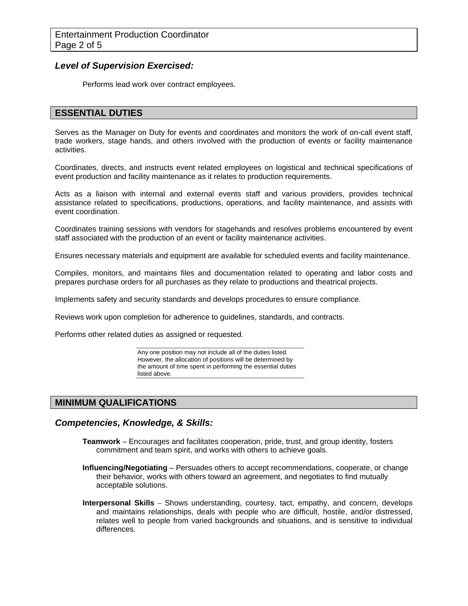#### *Level of Supervision Exercised:*

Performs lead work over contract employees.

### **ESSENTIAL DUTIES**

Serves as the Manager on Duty for events and coordinates and monitors the work of on-call event staff, trade workers, stage hands, and others involved with the production of events or facility maintenance activities.

Coordinates, directs, and instructs event related employees on logistical and technical specifications of event production and facility maintenance as it relates to production requirements.

Acts as a liaison with internal and external events staff and various providers, provides technical assistance related to specifications, productions, operations, and facility maintenance, and assists with event coordination.

Coordinates training sessions with vendors for stagehands and resolves problems encountered by event staff associated with the production of an event or facility maintenance activities.

Ensures necessary materials and equipment are available for scheduled events and facility maintenance.

Compiles, monitors, and maintains files and documentation related to operating and labor costs and prepares purchase orders for all purchases as they relate to productions and theatrical projects.

Implements safety and security standards and develops procedures to ensure compliance.

Reviews work upon completion for adherence to guidelines, standards, and contracts.

Performs other related duties as assigned or requested.

Any one position may not include all of the duties listed. However, the allocation of positions will be determined by the amount of time spent in performing the essential duties listed above.

## **MINIMUM QUALIFICATIONS**

#### *Competencies, Knowledge, & Skills:*

- **Teamwork** Encourages and facilitates cooperation, pride, trust, and group identity, fosters commitment and team spirit, and works with others to achieve goals.
- **Influencing/Negotiating** Persuades others to accept recommendations, cooperate, or change their behavior, works with others toward an agreement, and negotiates to find mutually acceptable solutions.
- **Interpersonal Skills** Shows understanding, courtesy, tact, empathy, and concern, develops and maintains relationships, deals with people who are difficult, hostile, and/or distressed, relates well to people from varied backgrounds and situations, and is sensitive to individual differences.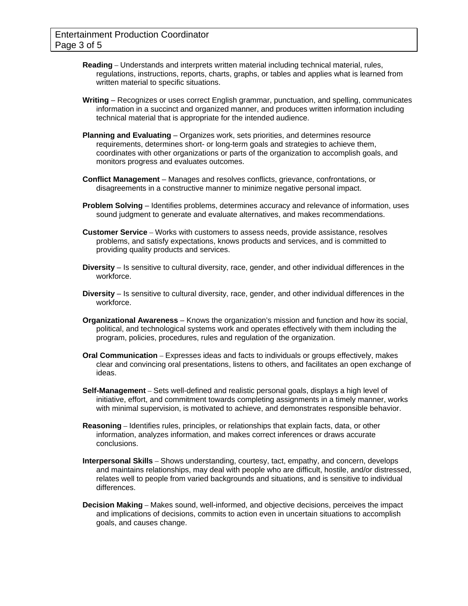- **Reading** Understands and interprets written material including technical material, rules, regulations, instructions, reports, charts, graphs, or tables and applies what is learned from written material to specific situations.
- **Writing** Recognizes or uses correct English grammar, punctuation, and spelling, communicates information in a succinct and organized manner, and produces written information including technical material that is appropriate for the intended audience.
- **Planning and Evaluating** Organizes work, sets priorities, and determines resource requirements, determines short- or long-term goals and strategies to achieve them, coordinates with other organizations or parts of the organization to accomplish goals, and monitors progress and evaluates outcomes.
- **Conflict Management** Manages and resolves conflicts, grievance, confrontations, or disagreements in a constructive manner to minimize negative personal impact.
- **Problem Solving** Identifies problems, determines accuracy and relevance of information, uses sound judgment to generate and evaluate alternatives, and makes recommendations.
- **Customer Service** Works with customers to assess needs, provide assistance, resolves problems, and satisfy expectations, knows products and services, and is committed to providing quality products and services.
- **Diversity** Is sensitive to cultural diversity, race, gender, and other individual differences in the workforce.
- **Diversity** Is sensitive to cultural diversity, race, gender, and other individual differences in the workforce.
- **Organizational Awareness** Knows the organization's mission and function and how its social, political, and technological systems work and operates effectively with them including the program, policies, procedures, rules and regulation of the organization.
- **Oral Communication** Expresses ideas and facts to individuals or groups effectively, makes clear and convincing oral presentations, listens to others, and facilitates an open exchange of ideas.
- **Self-Management** Sets well-defined and realistic personal goals, displays a high level of initiative, effort, and commitment towards completing assignments in a timely manner, works with minimal supervision, is motivated to achieve, and demonstrates responsible behavior.
- **Reasoning** Identifies rules, principles, or relationships that explain facts, data, or other information, analyzes information, and makes correct inferences or draws accurate conclusions.
- **Interpersonal Skills** Shows understanding, courtesy, tact, empathy, and concern, develops and maintains relationships, may deal with people who are difficult, hostile, and/or distressed, relates well to people from varied backgrounds and situations, and is sensitive to individual differences.
- **Decision Making** Makes sound, well-informed, and objective decisions, perceives the impact and implications of decisions, commits to action even in uncertain situations to accomplish goals, and causes change.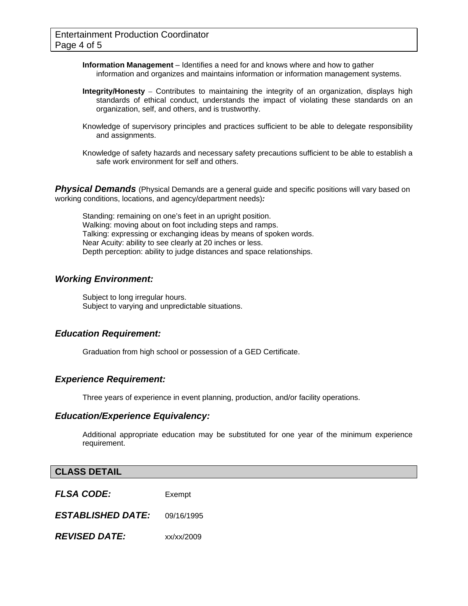**Information Management** – Identifies a need for and knows where and how to gather information and organizes and maintains information or information management systems.

- **Integrity/Honesty** Contributes to maintaining the integrity of an organization, displays high standards of ethical conduct, understands the impact of violating these standards on an organization, self, and others, and is trustworthy.
- Knowledge of supervisory principles and practices sufficient to be able to delegate responsibility and assignments.
- Knowledge of safety hazards and necessary safety precautions sufficient to be able to establish a safe work environment for self and others.

**Physical Demands** (Physical Demands are a general guide and specific positions will vary based on working conditions, locations, and agency/department needs)*:* 

Standing: remaining on one's feet in an upright position. Walking: moving about on foot including steps and ramps. Talking: expressing or exchanging ideas by means of spoken words. Near Acuity: ability to see clearly at 20 inches or less. Depth perception: ability to judge distances and space relationships.

#### *Working Environment:*

Subject to long irregular hours. Subject to varying and unpredictable situations.

#### *Education Requirement:*

Graduation from high school or possession of a GED Certificate.

#### *Experience Requirement:*

Three years of experience in event planning, production, and/or facility operations.

#### *Education/Experience Equivalency:*

Additional appropriate education may be substituted for one year of the minimum experience requirement.

#### **CLASS DETAIL**

*FLSA CODE:*Exempt

*ESTABLISHED DATE:* 09/16/1995

*REVISED DATE:* xx/xx/2009